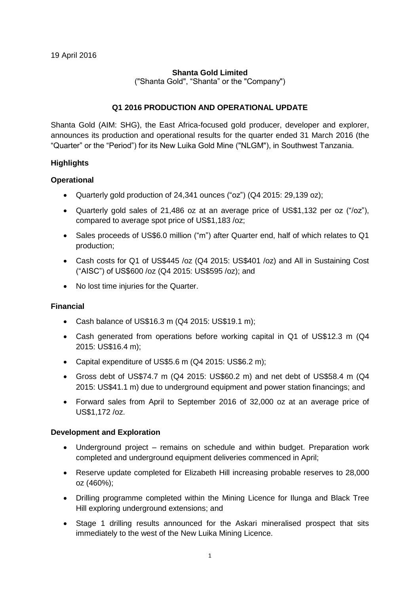### **Shanta Gold Limited**

("Shanta Gold", "Shanta" or the "Company")

### **Q1 2016 PRODUCTION AND OPERATIONAL UPDATE**

Shanta Gold (AIM: SHG), the East Africa-focused gold producer, developer and explorer, announces its production and operational results for the quarter ended 31 March 2016 (the "Quarter" or the "Period") for its New Luika Gold Mine ("NLGM"), in Southwest Tanzania.

### **Highlights**

#### **Operational**

- Quarterly gold production of 24,341 ounces ("oz") (Q4 2015: 29,139 oz);
- Quarterly gold sales of 21,486 oz at an average price of US\$1,132 per oz ("/oz"), compared to average spot price of US\$1,183 /oz;
- Sales proceeds of US\$6.0 million ("m") after Quarter end, half of which relates to Q1 production;
- Cash costs for Q1 of US\$445 /oz (Q4 2015: US\$401 /oz) and All in Sustaining Cost ("AISC") of US\$600 /oz (Q4 2015: US\$595 /oz); and
- No lost time injuries for the Quarter.

#### **Financial**

- Cash balance of US\$16.3 m (Q4 2015: US\$19.1 m);
- Cash generated from operations before working capital in Q1 of US\$12.3 m (Q4 2015: US\$16.4 m);
- Capital expenditure of US\$5.6 m (Q4 2015: US\$6.2 m);
- Gross debt of US\$74.7 m (Q4 2015: US\$60.2 m) and net debt of US\$58.4 m (Q4 2015: US\$41.1 m) due to underground equipment and power station financings; and
- Forward sales from April to September 2016 of 32,000 oz at an average price of US\$1,172 /oz.

#### **Development and Exploration**

- Underground project remains on schedule and within budget. Preparation work completed and underground equipment deliveries commenced in April;
- Reserve update completed for Elizabeth Hill increasing probable reserves to 28,000 oz (460%);
- Drilling programme completed within the Mining Licence for Ilunga and Black Tree Hill exploring underground extensions; and
- Stage 1 drilling results announced for the Askari mineralised prospect that sits immediately to the west of the New Luika Mining Licence.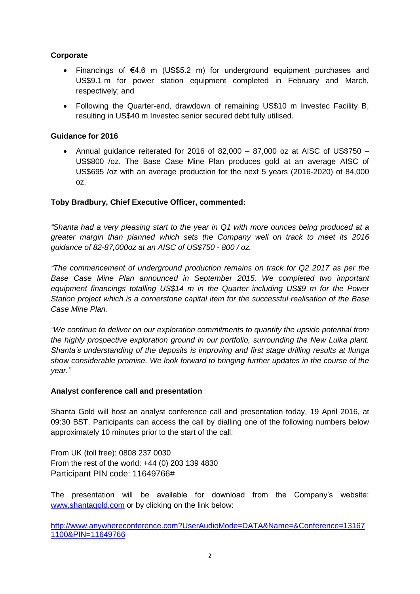# **Corporate**

- Financings of €4.6 m (US\$5.2 m) for underground equipment purchases and US\$9.1 m for power station equipment completed in February and March, respectively; and
- Following the Quarter-end, drawdown of remaining US\$10 m Investec Facility B, resulting in US\$40 m Investec senior secured debt fully utilised.

### **Guidance for 2016**

• Annual quidance reiterated for 2016 of 82,000 – 87,000 oz at AISC of US\$750 – US\$800 /oz. The Base Case Mine Plan produces gold at an average AISC of US\$695 /oz with an average production for the next 5 years (2016-2020) of 84,000 oz.

### **Toby Bradbury, Chief Executive Officer, commented:**

*"Shanta had a very pleasing start to the year in Q1 with more ounces being produced at a greater margin than planned which sets the Company well on track to meet its 2016 guidance of 82-87,000oz at an AISC of US\$750 - 800 / oz.*

*"The commencement of underground production remains on track for Q2 2017 as per the Base Case Mine Plan announced in September 2015. We completed two important equipment financings totalling US\$14 m in the Quarter including US\$9 m for the Power Station project which is a cornerstone capital item for the successful realisation of the Base Case Mine Plan.*

*"We continue to deliver on our exploration commitments to quantify the upside potential from the highly prospective exploration ground in our portfolio, surrounding the New Luika plant. Shanta's understanding of the deposits is improving and first stage drilling results at Ilunga show considerable promise. We look forward to bringing further updates in the course of the year."*

#### **Analyst conference call and presentation**

Shanta Gold will host an analyst conference call and presentation today, 19 April 2016, at 09:30 BST. Participants can access the call by dialling one of the following numbers below approximately 10 minutes prior to the start of the call.

From UK (toll free): 0808 237 0030 From the rest of the world: +44 (0) 203 139 4830 Participant PIN code: 11649766#

The presentation will be available for download from the Company's website: [www.shantagold.com](http://www.shantagold.com/) or by clicking on the link below:

[http://www.anywhereconference.com?UserAudioMode=DATA&Name=&Conference=13167](http://www.anywhereconference.com/?UserAudioMode=DATA&Name=&Conference=131671100&PIN=11649766) [1100&PIN=11649766](http://www.anywhereconference.com/?UserAudioMode=DATA&Name=&Conference=131671100&PIN=11649766)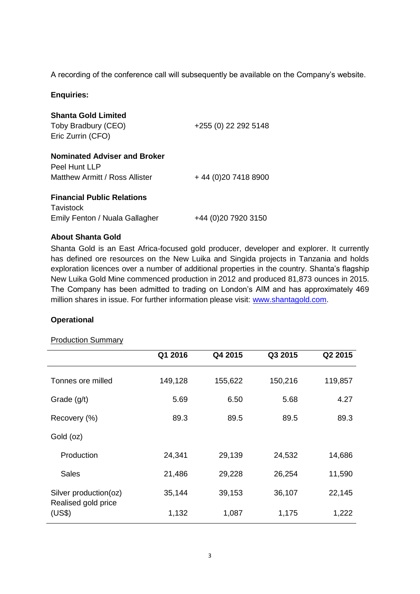A recording of the conference call will subsequently be available on the Company's website.

### **Enquiries:**

| <b>Shanta Gold Limited</b><br>Toby Bradbury (CEO)<br>Eric Zurrin (CFO)                 | +255 (0) 22 292 5148 |
|----------------------------------------------------------------------------------------|----------------------|
| <b>Nominated Adviser and Broker</b><br>Peel Hunt LLP<br>Matthew Armitt / Ross Allister | +44 (0) 20 7418 8900 |
| <b>Financial Public Relations</b><br>Tavistock                                         |                      |
| Emily Fenton / Nuala Gallagher                                                         | +44 (0)20 7920 3150  |

#### **About Shanta Gold**

Shanta Gold is an East Africa-focused gold producer, developer and explorer. It currently has defined ore resources on the New Luika and Singida projects in Tanzania and holds exploration licences over a number of additional properties in the country. Shanta's flagship New Luika Gold Mine commenced production in 2012 and produced 81,873 ounces in 2015. The Company has been admitted to trading on London's AIM and has approximately 469 million shares in issue. For further information please visit: [www.shantagold.com.](http://www.shantagold.com/)

#### **Operational**

#### Production Summary

|                                                        | Q1 2016 | Q4 2015 | Q3 2015 | Q2 2015 |
|--------------------------------------------------------|---------|---------|---------|---------|
| Tonnes ore milled                                      | 149,128 | 155,622 | 150,216 | 119,857 |
| Grade $(g/t)$                                          | 5.69    | 6.50    | 5.68    | 4.27    |
| Recovery (%)                                           | 89.3    | 89.5    | 89.5    | 89.3    |
| Gold (oz)                                              |         |         |         |         |
| Production                                             | 24,341  | 29,139  | 24,532  | 14,686  |
| Sales                                                  | 21,486  | 29,228  | 26,254  | 11,590  |
| Silver production(oz)<br>Realised gold price<br>(US\$) | 35,144  | 39,153  | 36,107  | 22,145  |
|                                                        | 1,132   | 1,087   | 1,175   | 1,222   |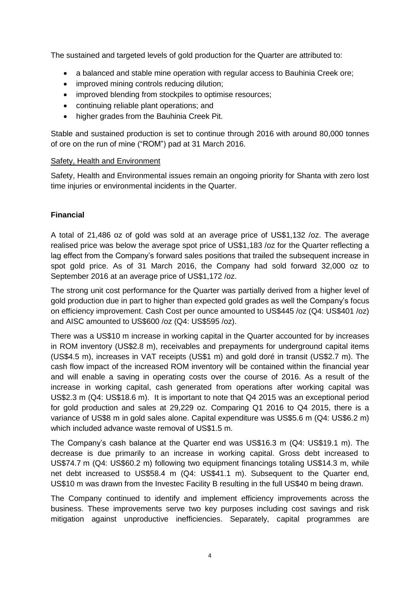The sustained and targeted levels of gold production for the Quarter are attributed to:

- a balanced and stable mine operation with regular access to Bauhinia Creek ore;
- improved mining controls reducing dilution;
- improved blending from stockpiles to optimise resources;
- continuing reliable plant operations; and
- higher grades from the Bauhinia Creek Pit.

Stable and sustained production is set to continue through 2016 with around 80,000 tonnes of ore on the run of mine ("ROM") pad at 31 March 2016.

### Safety, Health and Environment

Safety, Health and Environmental issues remain an ongoing priority for Shanta with zero lost time injuries or environmental incidents in the Quarter.

# **Financial**

A total of 21,486 oz of gold was sold at an average price of US\$1,132 /oz. The average realised price was below the average spot price of US\$1,183 /oz for the Quarter reflecting a lag effect from the Company's forward sales positions that trailed the subsequent increase in spot gold price. As of 31 March 2016, the Company had sold forward 32,000 oz to September 2016 at an average price of US\$1,172 /oz.

The strong unit cost performance for the Quarter was partially derived from a higher level of gold production due in part to higher than expected gold grades as well the Company's focus on efficiency improvement. Cash Cost per ounce amounted to US\$445 /oz (Q4: US\$401 /oz) and AISC amounted to US\$600 /oz (Q4: US\$595 /oz).

There was a US\$10 m increase in working capital in the Quarter accounted for by increases in ROM inventory (US\$2.8 m), receivables and prepayments for underground capital items (US\$4.5 m), increases in VAT receipts (US\$1 m) and gold doré in transit (US\$2.7 m). The cash flow impact of the increased ROM inventory will be contained within the financial year and will enable a saving in operating costs over the course of 2016. As a result of the increase in working capital, cash generated from operations after working capital was US\$2.3 m (Q4: US\$18.6 m). It is important to note that Q4 2015 was an exceptional period for gold production and sales at 29,229 oz. Comparing Q1 2016 to Q4 2015, there is a variance of US\$8 m in gold sales alone. Capital expenditure was US\$5.6 m (Q4: US\$6.2 m) which included advance waste removal of US\$1.5 m.

The Company's cash balance at the Quarter end was US\$16.3 m (Q4: US\$19.1 m). The decrease is due primarily to an increase in working capital. Gross debt increased to US\$74.7 m (Q4: US\$60.2 m) following two equipment financings totaling US\$14.3 m, while net debt increased to US\$58.4 m (Q4: US\$41.1 m). Subsequent to the Quarter end, US\$10 m was drawn from the Investec Facility B resulting in the full US\$40 m being drawn.

The Company continued to identify and implement efficiency improvements across the business. These improvements serve two key purposes including cost savings and risk mitigation against unproductive inefficiencies. Separately, capital programmes are